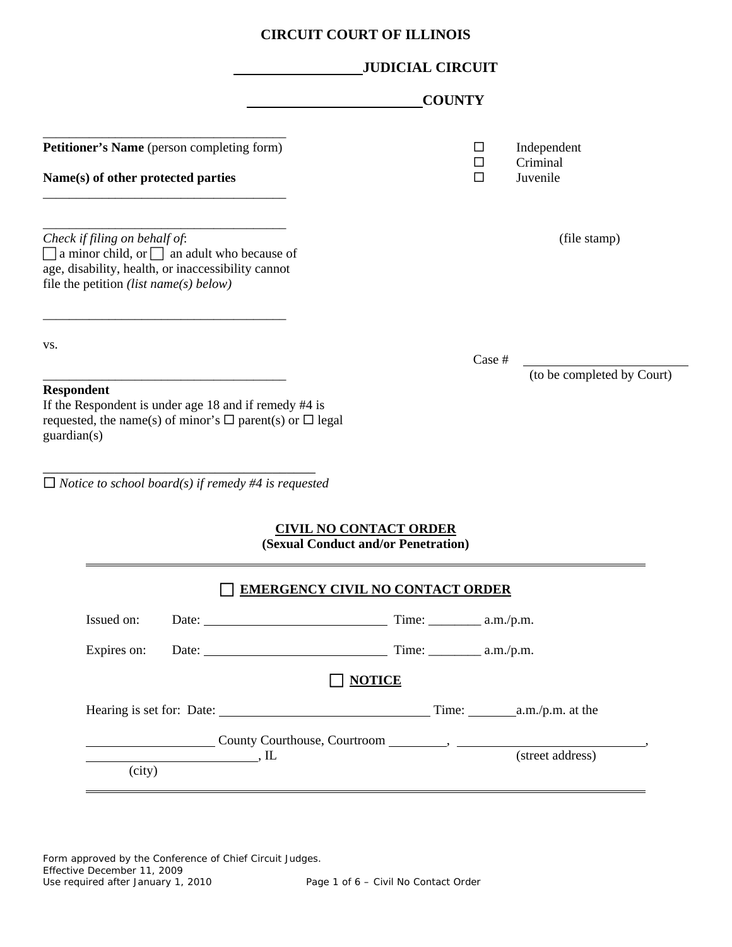|                                                                                                                                                                                          | <b>CIRCUIT COURT OF ILLINOIS</b>                                     |
|------------------------------------------------------------------------------------------------------------------------------------------------------------------------------------------|----------------------------------------------------------------------|
|                                                                                                                                                                                          | <b>JUDICIAL CIRCUIT</b>                                              |
|                                                                                                                                                                                          | <b>COUNTY</b>                                                        |
| Petitioner's Name (person completing form)<br>Name(s) of other protected parties                                                                                                         | Independent<br>ப<br>Criminal<br>□<br>$\Box$<br>Juvenile              |
| Check if filing on behalf of:<br>$\Box$ a minor child, or $\Box$ an adult who because of<br>age, disability, health, or inaccessibility cannot<br>file the petition (list name(s) below) | (file stamp)                                                         |
| VS.<br><b>Respondent</b>                                                                                                                                                                 | Case #<br>(to be completed by Court)                                 |
| If the Respondent is under age 18 and if remedy #4 is<br>requested, the name(s) of minor's $\Box$ parent(s) or $\Box$ legal<br>guardian(s)                                               |                                                                      |
| $\Box$ Notice to school board(s) if remedy #4 is requested                                                                                                                               |                                                                      |
|                                                                                                                                                                                          | <b>CIVIL NO CONTACT ORDER</b><br>(Sexual Conduct and/or Penetration) |
|                                                                                                                                                                                          | <b>EMERGENCY CIVIL NO CONTACT ORDER</b>                              |
| Issued on:                                                                                                                                                                               |                                                                      |
| Expires on:                                                                                                                                                                              |                                                                      |
|                                                                                                                                                                                          | <b>NOTICE</b>                                                        |
|                                                                                                                                                                                          |                                                                      |
|                                                                                                                                                                                          |                                                                      |

(city)

, IL (street address)

Form approved by the Conference of Chief Circuit Judges. Effective December 11, 2009 Use required after January 1, 2010 Page 1 of 6 – Civil No Contact Order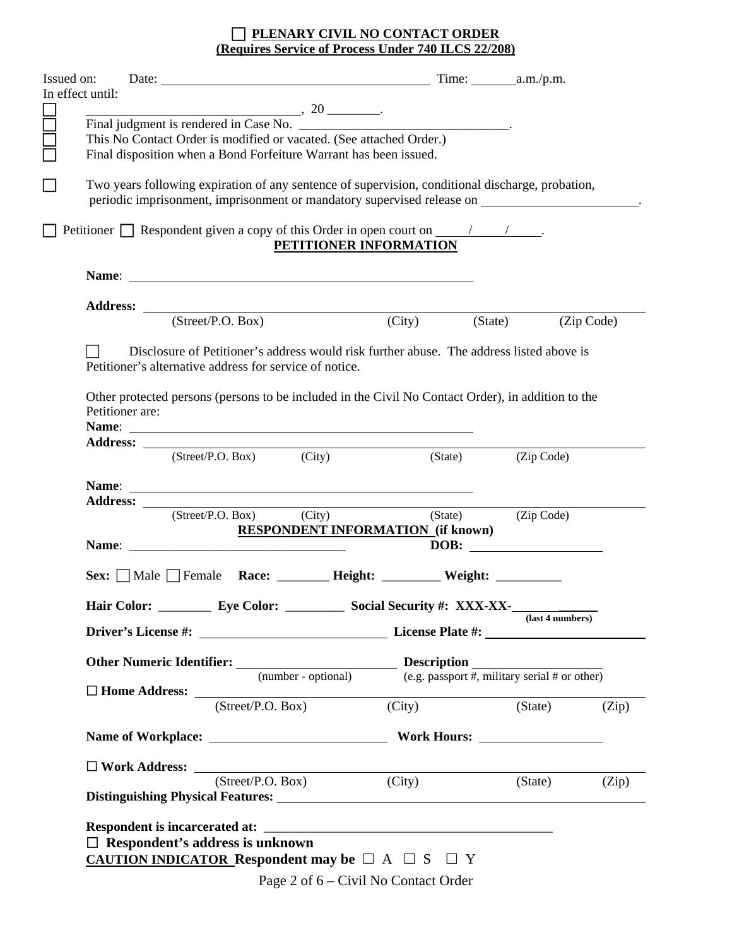#### **PLENARY CIVIL NO CONTACT ORDER (Requires Service of Process Under 740 ILCS 22/208)**

| This No Contact Order is modified or vacated. (See attached Order.)<br>Two years following expiration of any sentence of supervision, conditional discharge, probation,<br>Petitioner $\Box$ Respondent given a copy of this Order in open court on $\Box$<br>PETITIONER INFORMATION<br>(City)<br>(State)<br>Disclosure of Petitioner's address would risk further abuse. The address listed above is<br>Other protected persons (persons to be included in the Civil No Contact Order), in addition to the<br>Name: <u>Name:</u> Name: 2007 | periodic imprisonment, imprisonment or mandatory supervised release on example of the state of the state of the state of the state of the state of the state of the state of the state of the state of the state of the state<br>(Zip Code)<br>(Zip Code) |
|----------------------------------------------------------------------------------------------------------------------------------------------------------------------------------------------------------------------------------------------------------------------------------------------------------------------------------------------------------------------------------------------------------------------------------------------------------------------------------------------------------------------------------------------|-----------------------------------------------------------------------------------------------------------------------------------------------------------------------------------------------------------------------------------------------------------|
|                                                                                                                                                                                                                                                                                                                                                                                                                                                                                                                                              |                                                                                                                                                                                                                                                           |
|                                                                                                                                                                                                                                                                                                                                                                                                                                                                                                                                              |                                                                                                                                                                                                                                                           |
|                                                                                                                                                                                                                                                                                                                                                                                                                                                                                                                                              |                                                                                                                                                                                                                                                           |
|                                                                                                                                                                                                                                                                                                                                                                                                                                                                                                                                              |                                                                                                                                                                                                                                                           |
|                                                                                                                                                                                                                                                                                                                                                                                                                                                                                                                                              |                                                                                                                                                                                                                                                           |
|                                                                                                                                                                                                                                                                                                                                                                                                                                                                                                                                              |                                                                                                                                                                                                                                                           |
|                                                                                                                                                                                                                                                                                                                                                                                                                                                                                                                                              |                                                                                                                                                                                                                                                           |
|                                                                                                                                                                                                                                                                                                                                                                                                                                                                                                                                              |                                                                                                                                                                                                                                                           |
|                                                                                                                                                                                                                                                                                                                                                                                                                                                                                                                                              |                                                                                                                                                                                                                                                           |
|                                                                                                                                                                                                                                                                                                                                                                                                                                                                                                                                              |                                                                                                                                                                                                                                                           |
|                                                                                                                                                                                                                                                                                                                                                                                                                                                                                                                                              |                                                                                                                                                                                                                                                           |
| Address: (Street/P.O. Box) (City) (State)                                                                                                                                                                                                                                                                                                                                                                                                                                                                                                    |                                                                                                                                                                                                                                                           |
|                                                                                                                                                                                                                                                                                                                                                                                                                                                                                                                                              |                                                                                                                                                                                                                                                           |
|                                                                                                                                                                                                                                                                                                                                                                                                                                                                                                                                              |                                                                                                                                                                                                                                                           |
| (Street/P.O. Box) (City) (State)<br>(Zip Code)                                                                                                                                                                                                                                                                                                                                                                                                                                                                                               |                                                                                                                                                                                                                                                           |
| <b>RESPONDENT INFORMATION (if known)</b><br>DOB:                                                                                                                                                                                                                                                                                                                                                                                                                                                                                             |                                                                                                                                                                                                                                                           |
|                                                                                                                                                                                                                                                                                                                                                                                                                                                                                                                                              |                                                                                                                                                                                                                                                           |
| Sex: $\Box$ Male $\Box$ Female Race: _________ Height: _________ Weight: __________                                                                                                                                                                                                                                                                                                                                                                                                                                                          |                                                                                                                                                                                                                                                           |
|                                                                                                                                                                                                                                                                                                                                                                                                                                                                                                                                              |                                                                                                                                                                                                                                                           |
|                                                                                                                                                                                                                                                                                                                                                                                                                                                                                                                                              | (last 4 numbers)                                                                                                                                                                                                                                          |
| <b>Other Numeric Identifier:</b> $\frac{1}{(number - optional)}$ <b>Description</b><br>(e.g. passport #, military serial # or other)                                                                                                                                                                                                                                                                                                                                                                                                         |                                                                                                                                                                                                                                                           |
|                                                                                                                                                                                                                                                                                                                                                                                                                                                                                                                                              |                                                                                                                                                                                                                                                           |
|                                                                                                                                                                                                                                                                                                                                                                                                                                                                                                                                              | (State)<br>(Zip)                                                                                                                                                                                                                                          |
|                                                                                                                                                                                                                                                                                                                                                                                                                                                                                                                                              |                                                                                                                                                                                                                                                           |
|                                                                                                                                                                                                                                                                                                                                                                                                                                                                                                                                              |                                                                                                                                                                                                                                                           |
|                                                                                                                                                                                                                                                                                                                                                                                                                                                                                                                                              |                                                                                                                                                                                                                                                           |
|                                                                                                                                                                                                                                                                                                                                                                                                                                                                                                                                              |                                                                                                                                                                                                                                                           |
| $\square$ Work Address: $\overline{\qquad \qquad }$ (Street/P.O. Box) (City) (                                                                                                                                                                                                                                                                                                                                                                                                                                                               | (State)<br>(Zip)                                                                                                                                                                                                                                          |
|                                                                                                                                                                                                                                                                                                                                                                                                                                                                                                                                              |                                                                                                                                                                                                                                                           |
|                                                                                                                                                                                                                                                                                                                                                                                                                                                                                                                                              |                                                                                                                                                                                                                                                           |
|                                                                                                                                                                                                                                                                                                                                                                                                                                                                                                                                              |                                                                                                                                                                                                                                                           |

Page 2 of 6 – Civil No Contact Order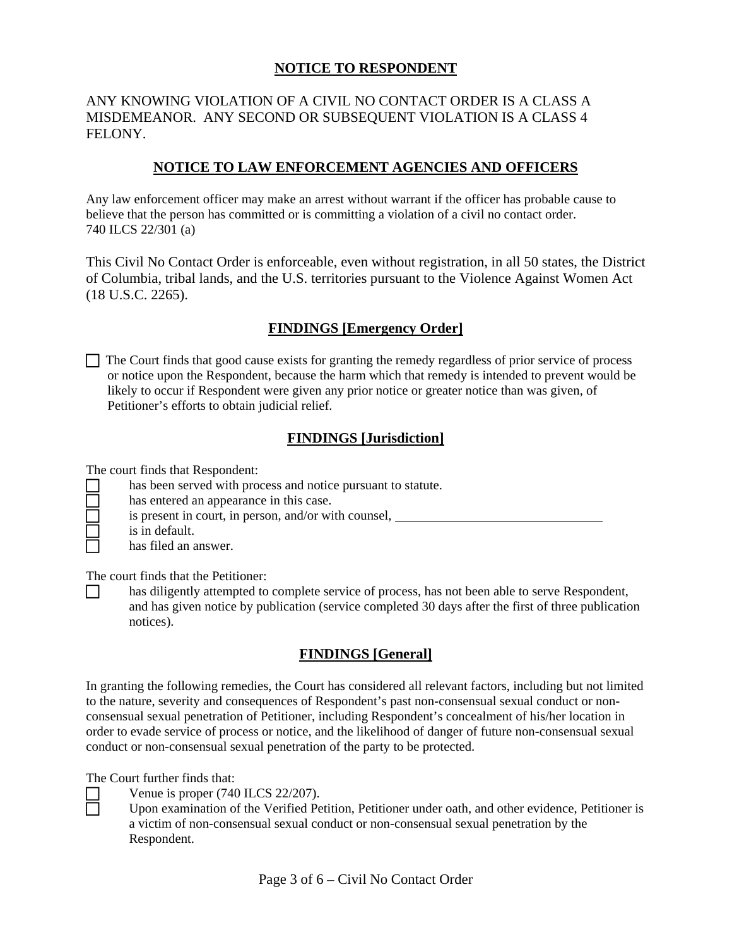## **NOTICE TO RESPONDENT**

## ANY KNOWING VIOLATION OF A CIVIL NO CONTACT ORDER IS A CLASS A MISDEMEANOR. ANY SECOND OR SUBSEQUENT VIOLATION IS A CLASS 4 FELONY.

### **NOTICE TO LAW ENFORCEMENT AGENCIES AND OFFICERS**

Any law enforcement officer may make an arrest without warrant if the officer has probable cause to believe that the person has committed or is committing a violation of a civil no contact order. 740 ILCS 22/301 (a)

This Civil No Contact Order is enforceable, even without registration, in all 50 states, the District of Columbia, tribal lands, and the U.S. territories pursuant to the Violence Against Women Act (18 U.S.C. 2265).

## **FINDINGS [Emergency Order]**

 The Court finds that good cause exists for granting the remedy regardless of prior service of process or notice upon the Respondent, because the harm which that remedy is intended to prevent would be likely to occur if Respondent were given any prior notice or greater notice than was given, of Petitioner's efforts to obtain judicial relief.

#### **FINDINGS [Jurisdiction]**

The court finds that Respondent:

| has been served with process and notice pursuant to statute. |  |  |  |
|--------------------------------------------------------------|--|--|--|
| has entered an appearance in this case.                      |  |  |  |
| is present in court, in person, and/or with counsel,         |  |  |  |
| is in default.                                               |  |  |  |
| has filed an answer.                                         |  |  |  |
|                                                              |  |  |  |

The court finds that the Petitioner:

has diligently attempted to complete service of process, has not been able to serve Respondent, and has given notice by publication (service completed 30 days after the first of three publication notices).

# **FINDINGS [General]**

In granting the following remedies, the Court has considered all relevant factors, including but not limited to the nature, severity and consequences of Respondent's past non-consensual sexual conduct or nonconsensual sexual penetration of Petitioner, including Respondent's concealment of his/her location in order to evade service of process or notice, and the likelihood of danger of future non-consensual sexual conduct or non-consensual sexual penetration of the party to be protected.

The Court further finds that:

Venue is proper (740 ILCS 22/207).

 Upon examination of the Verified Petition, Petitioner under oath, and other evidence, Petitioner is a victim of non-consensual sexual conduct or non-consensual sexual penetration by the Respondent.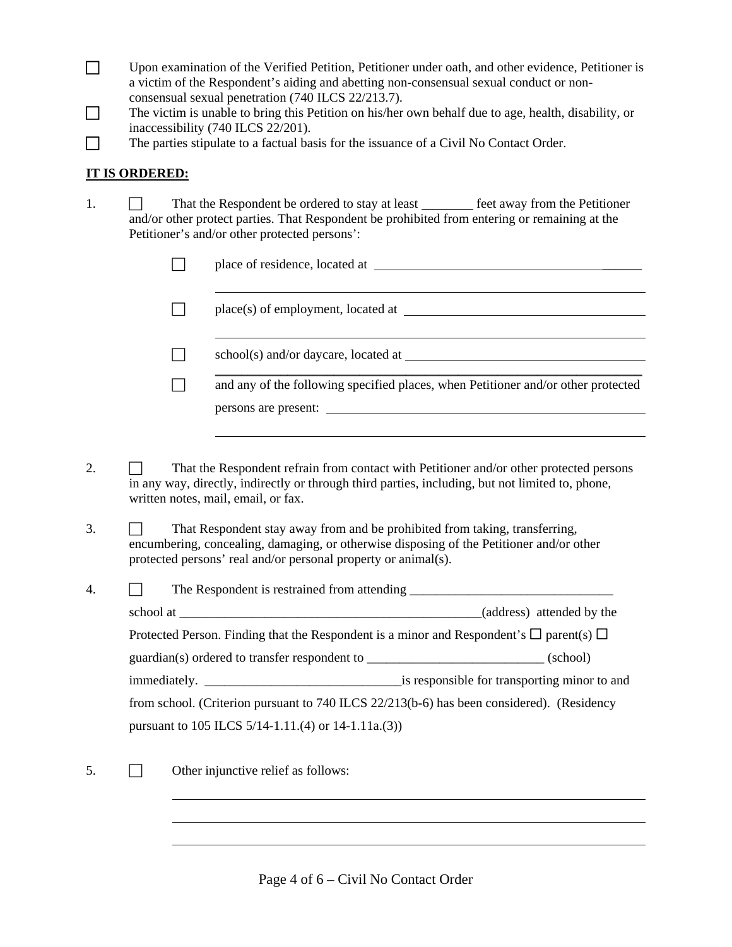- Upon examination of the Verified Petition, Petitioner under oath, and other evidence, Petitioner is a victim of the Respondent's aiding and abetting non-consensual sexual conduct or nonconsensual sexual penetration (740 ILCS 22/213.7).
- $\Box$  The victim is unable to bring this Petition on his/her own behalf due to age, health, disability, or inaccessibility (740 ILCS 22/201).
- $\Box$  The parties stipulate to a factual basis for the issuance of a Civil No Contact Order.

### **IT IS ORDERED:**

1. That the Respondent be ordered to stay at least <u>feet away from the Petitioner</u> and/or other protect parties. That Respondent be prohibited from entering or remaining at the Petitioner's and/or other protected persons':

| school(s) and/or daycare, located at                                                                      |
|-----------------------------------------------------------------------------------------------------------|
| and any of the following specified places, when Petitioner and/or other protected<br>persons are present: |
|                                                                                                           |

- 2.  $\Box$  That the Respondent refrain from contact with Petitioner and/or other protected persons in any way, directly, indirectly or through third parties, including, but not limited to, phone, written notes, mail, email, or fax.
- 3. That Respondent stay away from and be prohibited from taking, transferring, encumbering, concealing, damaging, or otherwise disposing of the Petitioner and/or other protected persons' real and/or personal property or animal(s).

| 4. | The Respondent is restrained from attending                                                       |                           |  |
|----|---------------------------------------------------------------------------------------------------|---------------------------|--|
|    |                                                                                                   | (address) attended by the |  |
|    | Protected Person. Finding that the Respondent is a minor and Respondent's $\Box$ parent(s) $\Box$ |                           |  |
|    |                                                                                                   | (school)                  |  |
|    | is responsible for transporting minor to and<br>is responsible for transporting minor to and      |                           |  |
|    | from school. (Criterion pursuant to 740 ILCS 22/213(b-6) has been considered). (Residency         |                           |  |
|    | pursuant to 105 ILCS 5/14-1.11.(4) or 14-1.11a.(3))                                               |                           |  |

5. Other injunctive relief as follows: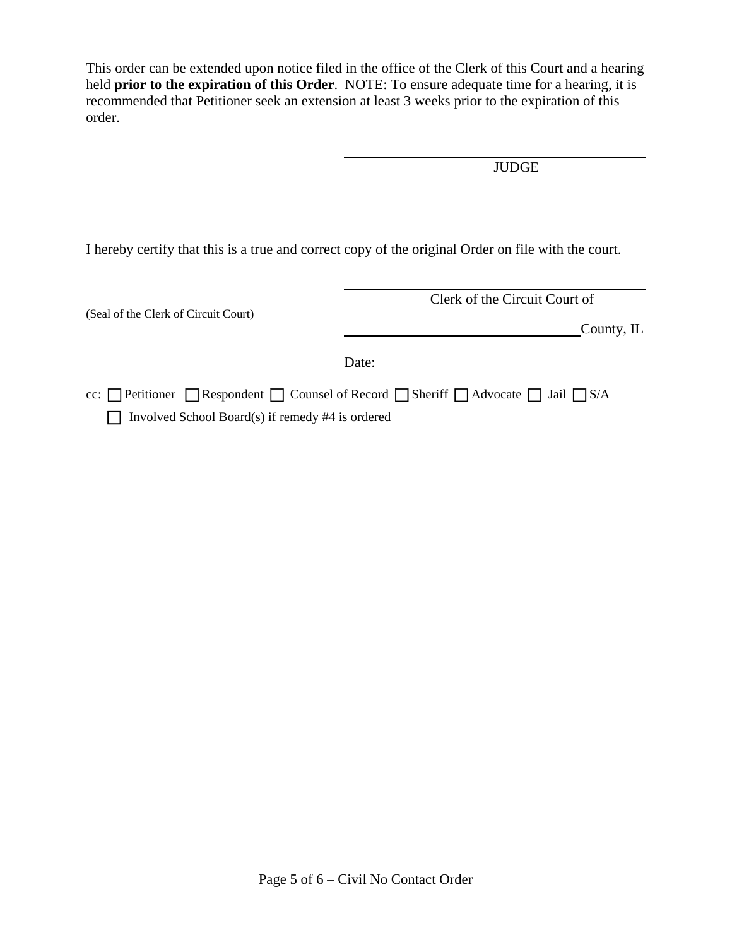This order can be extended upon notice filed in the office of the Clerk of this Court and a hearing held **prior to the expiration of this Order**. NOTE: To ensure adequate time for a hearing, it is recommended that Petitioner seek an extension at least 3 weeks prior to the expiration of this order.

JUDGE

I hereby certify that this is a true and correct copy of the original Order on file with the court.

|                                                                         | Clerk of the Circuit Court of |  |  |
|-------------------------------------------------------------------------|-------------------------------|--|--|
| (Seal of the Clerk of Circuit Court)                                    | County, IL                    |  |  |
|                                                                         | Date:                         |  |  |
| cc: Petitioner Respondent Counsel of Record Sheriff Advocate I Jail S/A |                               |  |  |
| $\Box$ Involved School Board(s) if remedy #4 is ordered                 |                               |  |  |